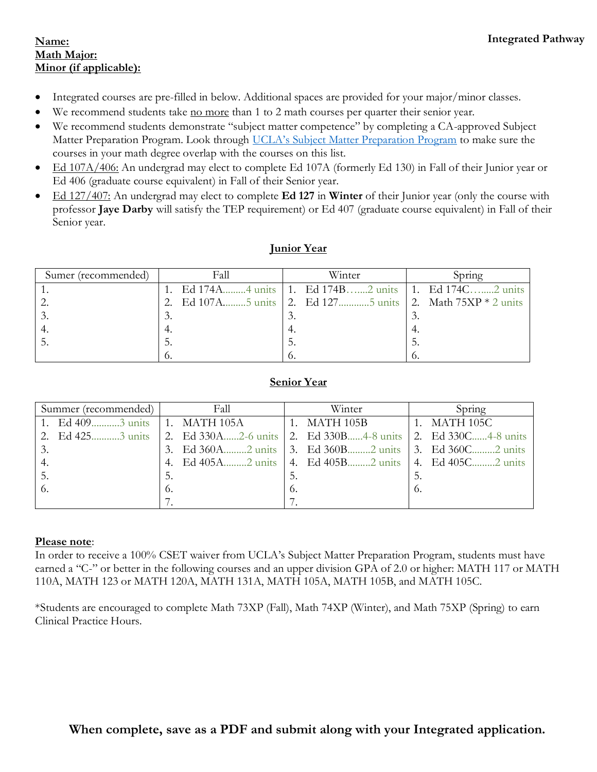#### **Name: Math Major: Minor (if applicable):**

- Integrated courses are pre-filled in below. Additional spaces are provided for your major/minor classes.
- We recommend students take no more than 1 to 2 math courses per quarter their senior year.
- We recommend students demonstrate "subject matter competence" by completing a CA-approved Subject Matter Preparation Program. Look through [UCLA's Subject Matter Preparation Program](https://curtiscenter.math.ucla.edu/wp-content/uploads/2019/11/Subject-Matter-Program-11.18.19.pdf) to make sure the courses in your math degree overlap with the courses on this list.
- Ed 107A/406: An undergrad may elect to complete Ed 107A (formerly Ed 130) in Fall of their Junior year or Ed 406 (graduate course equivalent) in Fall of their Senior year.
- Ed 127/407: An undergrad may elect to complete **Ed 127** in **Winter** of their Junior year (only the course with professor **Jaye Darby** will satisfy the TEP requirement) or Ed 407 (graduate course equivalent) in Fall of their Senior year.

| Sumer (recommended) | Fall | Winter                                                      | Spring |  |
|---------------------|------|-------------------------------------------------------------|--------|--|
|                     |      | 1. Ed 174A4 units 1. Ed 174B2 units 1. Ed 174C2 units       |        |  |
|                     |      | 2. Ed 107A5 units 2. Ed 1275 units 2. Math $75XP * 2$ units |        |  |
|                     |      |                                                             |        |  |
|                     |      |                                                             |        |  |
|                     |      | . ب                                                         |        |  |
|                     | O.   | O,                                                          |        |  |

# **Junior Year**

# **Senior Year**

| Summer (recommended) | Fall | Winter                                                                                               | Spring               |
|----------------------|------|------------------------------------------------------------------------------------------------------|----------------------|
|                      |      | $\vert$ 1. MATH 105B                                                                                 | $\vert$ 1. MATH 105C |
|                      |      | 2. Ed 425 minus 2. Ed 330A minus 2. Ed 330B minus 2. Ed 330B minus 2. Ed 330C minus 2. Ed 330C minus |                      |
| 3.                   |      | 3. Ed 360A2 units 3. Ed 360B2 units 3. Ed 360C2 units                                                |                      |
| 4.                   |      | 4. Ed 405A2 units   4. Ed 405B2 units   4. Ed 405C2 units                                            |                      |
| -5.                  | 5.   | -5.                                                                                                  | 5.                   |
|                      | 6.   | 6.                                                                                                   | 6.                   |
|                      |      |                                                                                                      |                      |

## **Please note**:

In order to receive a 100% CSET waiver from UCLA's Subject Matter Preparation Program, students must have earned a "C-" or better in the following courses and an upper division GPA of 2.0 or higher: MATH 117 or MATH 110A, MATH 123 or MATH 120A, MATH 131A, MATH 105A, MATH 105B, and MATH 105C.

\*Students are encouraged to complete Math 73XP (Fall), Math 74XP (Winter), and Math 75XP (Spring) to earn Clinical Practice Hours.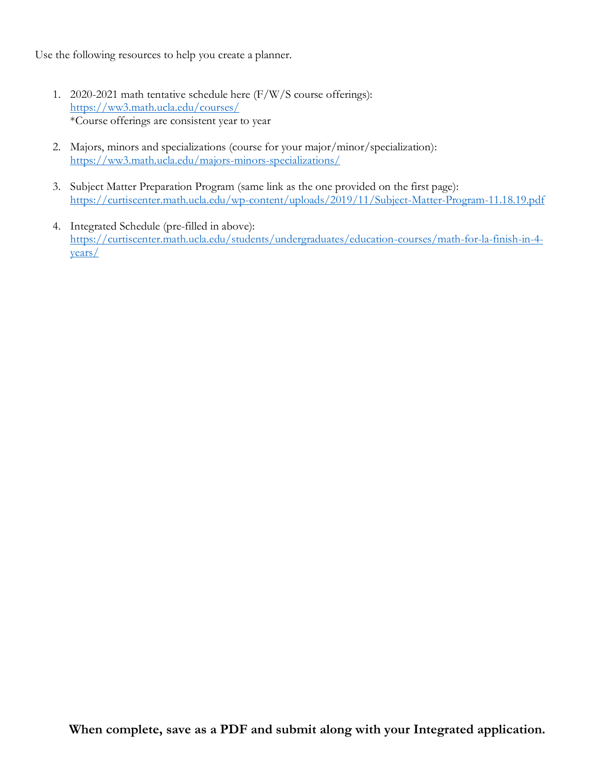Use the following resources to help you create a planner.

- 1. 2020-2021 math tentative schedule here (F/W/S course offerings): <https://ww3.math.ucla.edu/courses/> \*Course offerings are consistent year to year
- 2. Majors, minors and specializations (course for your major/minor/specialization): <https://ww3.math.ucla.edu/majors-minors-specializations/>
- 3. Subject Matter Preparation Program (same link as the one provided on the first page): <https://curtiscenter.math.ucla.edu/wp-content/uploads/2019/11/Subject-Matter-Program-11.18.19.pdf>
- 4. Integrated Schedule (pre-filled in above): [https://curtiscenter.math.ucla.edu/students/undergraduates/education-courses/math-for-la-finish-in-4](https://curtiscenter.math.ucla.edu/students/undergraduates/education-courses/math-for-la-finish-in-4-years/) [years/](https://curtiscenter.math.ucla.edu/students/undergraduates/education-courses/math-for-la-finish-in-4-years/)